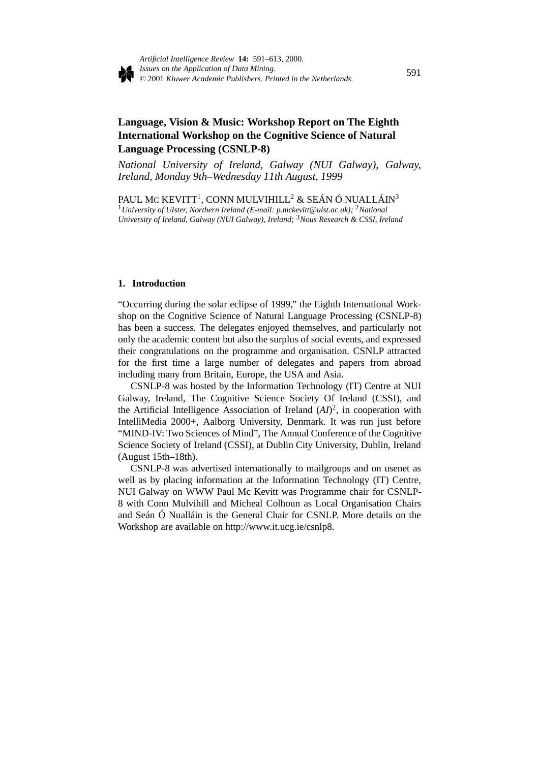

# **Language, Vision & Music: Workshop Report on The Eighth International Workshop on the Cognitive Science of Natural Language Processing (CSNLP-8)**

*National University of Ireland, Galway (NUI Galway), Galway, Ireland, Monday 9th–Wednesday 11th August, 1999*

PAUL MC KEVITT<sup>1</sup>, CONN MULVIHILL<sup>2</sup> & SEÁN Ó NUALLÁIN<sup>3</sup> <sup>1</sup>*University of Ulster, Northern Ireland (E-mail: p.mckevitt@ulst.ac.uk);* <sup>2</sup>*National University of Ireland, Galway (NUI Galway), Ireland;* <sup>3</sup>*Nous Research & CSSI, Ireland*

## **1. Introduction**

"Occurring during the solar eclipse of 1999," the Eighth International Workshop on the Cognitive Science of Natural Language Processing (CSNLP-8) has been a success. The delegates enjoyed themselves, and particularly not only the academic content but also the surplus of social events, and expressed their congratulations on the programme and organisation. CSNLP attracted for the first time a large number of delegates and papers from abroad including many from Britain, Europe, the USA and Asia.

CSNLP-8 was hosted by the Information Technology (IT) Centre at NUI Galway, Ireland, The Cognitive Science Society Of Ireland (CSSI), and the Artificial Intelligence Association of Ireland (*AI*) 2, in cooperation with IntelliMedia 2000+, Aalborg University, Denmark. It was run just before "MIND-IV: Two Sciences of Mind", The Annual Conference of the Cognitive Science Society of Ireland (CSSI), at Dublin City University, Dublin, Ireland (August 15th–18th).

CSNLP-8 was advertised internationally to mailgroups and on usenet as well as by placing information at the Information Technology (IT) Centre, NUI Galway on WWW Paul Mc Kevitt was Programme chair for CSNLP-8 with Conn Mulvihill and Micheal Colhoun as Local Organisation Chairs and Seán Ó Nualláin is the General Chair for CSNLP. More details on the Workshop are available on http://www.it.ucg.ie/csnlp8.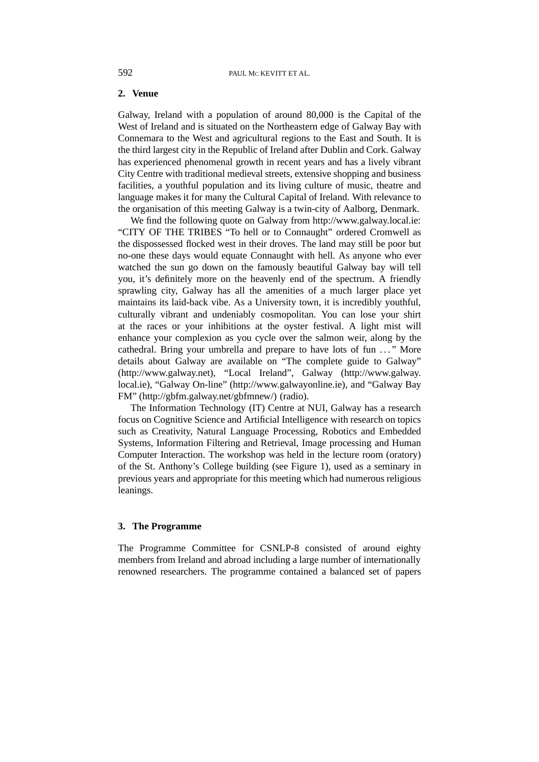## **2. Venue**

Galway, Ireland with a population of around 80,000 is the Capital of the West of Ireland and is situated on the Northeastern edge of Galway Bay with Connemara to the West and agricultural regions to the East and South. It is the third largest city in the Republic of Ireland after Dublin and Cork. Galway has experienced phenomenal growth in recent years and has a lively vibrant City Centre with traditional medieval streets, extensive shopping and business facilities, a youthful population and its living culture of music, theatre and language makes it for many the Cultural Capital of Ireland. With relevance to the organisation of this meeting Galway is a twin-city of Aalborg, Denmark.

We find the following quote on Galway from http://www.galway.local.ie: "CITY OF THE TRIBES "To hell or to Connaught" ordered Cromwell as the dispossessed flocked west in their droves. The land may still be poor but no-one these days would equate Connaught with hell. As anyone who ever watched the sun go down on the famously beautiful Galway bay will tell you, it's definitely more on the heavenly end of the spectrum. A friendly sprawling city, Galway has all the amenities of a much larger place yet maintains its laid-back vibe. As a University town, it is incredibly youthful, culturally vibrant and undeniably cosmopolitan. You can lose your shirt at the races or your inhibitions at the oyster festival. A light mist will enhance your complexion as you cycle over the salmon weir, along by the cathedral. Bring your umbrella and prepare to have lots of fun . . . " More details about Galway are available on "The complete guide to Galway" (http://www.galway.net), "Local Ireland", Galway (http://www.galway. local.ie), "Galway On-line" (http://www.galwayonline.ie), and "Galway Bay FM" (http://gbfm.galway.net/gbfmnew/) (radio).

The Information Technology (IT) Centre at NUI, Galway has a research focus on Cognitive Science and Artificial Intelligence with research on topics such as Creativity, Natural Language Processing, Robotics and Embedded Systems, Information Filtering and Retrieval, Image processing and Human Computer Interaction. The workshop was held in the lecture room (oratory) of the St. Anthony's College building (see Figure 1), used as a seminary in previous years and appropriate for this meeting which had numerous religious leanings.

## **3. The Programme**

The Programme Committee for CSNLP-8 consisted of around eighty members from Ireland and abroad including a large number of internationally renowned researchers. The programme contained a balanced set of papers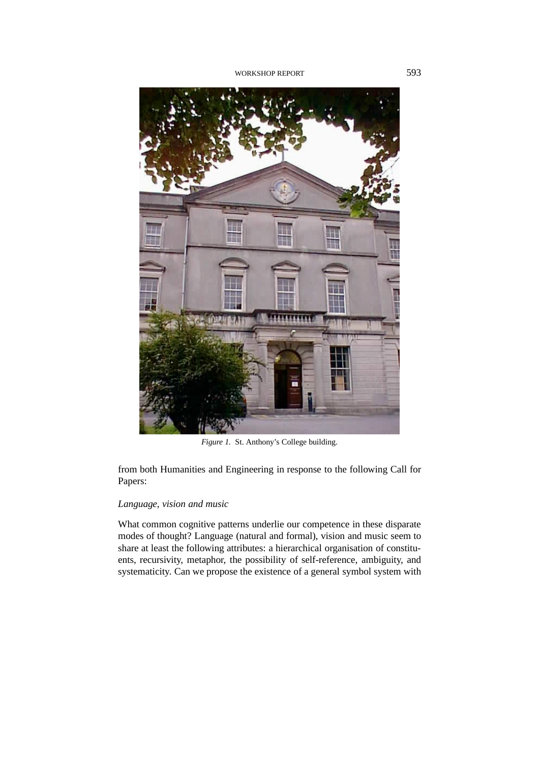

*Figure 1.* St. Anthony's College building.

from both Humanities and Engineering in response to the following Call for Papers:

## *Language, vision and music*

What common cognitive patterns underlie our competence in these disparate modes of thought? Language (natural and formal), vision and music seem to share at least the following attributes: a hierarchical organisation of constituents, recursivity, metaphor, the possibility of self-reference, ambiguity, and systematicity. Can we propose the existence of a general symbol system with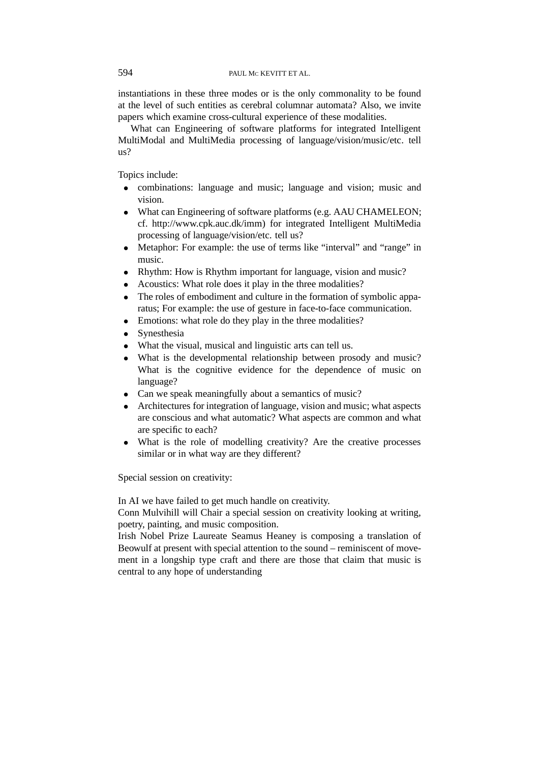instantiations in these three modes or is the only commonality to be found at the level of such entities as cerebral columnar automata? Also, we invite papers which examine cross-cultural experience of these modalities.

What can Engineering of software platforms for integrated Intelligent MultiModal and MultiMedia processing of language/vision/music/etc. tell us?

Topics include:

- combinations: language and music; language and vision; music and vision.
- What can Engineering of software platforms (e.g. AAU CHAMELEON; cf. http://www.cpk.auc.dk/imm) for integrated Intelligent MultiMedia processing of language/vision/etc. tell us?
- Metaphor: For example: the use of terms like "interval" and "range" in music.
- Rhythm: How is Rhythm important for language, vision and music?
- Acoustics: What role does it play in the three modalities?
- The roles of embodiment and culture in the formation of symbolic apparatus; For example: the use of gesture in face-to-face communication.
- Emotions: what role do they play in the three modalities?
- Synesthesia
- What the visual, musical and linguistic arts can tell us.
- What is the developmental relationship between prosody and music? What is the cognitive evidence for the dependence of music on language?
- Can we speak meaningfully about a semantics of music?
- Architectures for integration of language, vision and music; what aspects are conscious and what automatic? What aspects are common and what are specific to each?
- What is the role of modelling creativity? Are the creative processes similar or in what way are they different?

Special session on creativity:

In AI we have failed to get much handle on creativity.

Conn Mulvihill will Chair a special session on creativity looking at writing, poetry, painting, and music composition.

Irish Nobel Prize Laureate Seamus Heaney is composing a translation of Beowulf at present with special attention to the sound – reminiscent of movement in a longship type craft and there are those that claim that music is central to any hope of understanding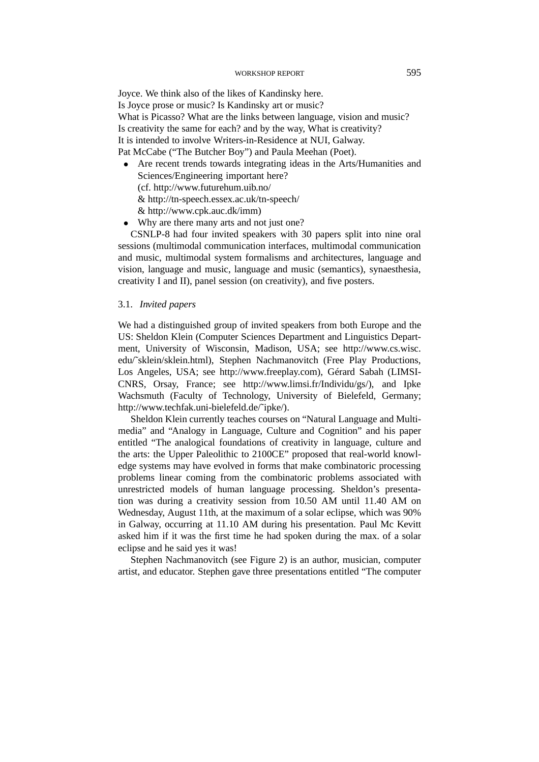Joyce. We think also of the likes of Kandinsky here. Is Joyce prose or music? Is Kandinsky art or music? What is Picasso? What are the links between language, vision and music? Is creativity the same for each? and by the way, What is creativity? It is intended to involve Writers-in-Residence at NUI, Galway. Pat McCabe ("The Butcher Boy") and Paula Meehan (Poet).

- Are recent trends towards integrating ideas in the Arts/Humanities and Sciences/Engineering important here? (cf. http://www.futurehum.uib.no/ & http://tn-speech.essex.ac.uk/tn-speech/ & http://www.cpk.auc.dk/imm)
- Why are there many arts and not just one?

CSNLP-8 had four invited speakers with 30 papers split into nine oral sessions (multimodal communication interfaces, multimodal communication and music, multimodal system formalisms and architectures, language and vision, language and music, language and music (semantics), synaesthesia, creativity I and II), panel session (on creativity), and five posters.

## 3.1. *Invited papers*

We had a distinguished group of invited speakers from both Europe and the US: Sheldon Klein (Computer Sciences Department and Linguistics Department, University of Wisconsin, Madison, USA; see http://www.cs.wisc. edu/˜sklein/sklein.html), Stephen Nachmanovitch (Free Play Productions, Los Angeles, USA; see http://www.freeplay.com), Gérard Sabah (LIMSI-CNRS, Orsay, France; see http://www.limsi.fr/Individu/gs/), and Ipke Wachsmuth (Faculty of Technology, University of Bielefeld, Germany; http://www.techfak.uni-bielefeld.de/˜ipke/).

Sheldon Klein currently teaches courses on "Natural Language and Multimedia" and "Analogy in Language, Culture and Cognition" and his paper entitled "The analogical foundations of creativity in language, culture and the arts: the Upper Paleolithic to 2100CE" proposed that real-world knowledge systems may have evolved in forms that make combinatoric processing problems linear coming from the combinatoric problems associated with unrestricted models of human language processing. Sheldon's presentation was during a creativity session from 10.50 AM until 11.40 AM on Wednesday, August 11th, at the maximum of a solar eclipse, which was 90% in Galway, occurring at 11.10 AM during his presentation. Paul Mc Kevitt asked him if it was the first time he had spoken during the max. of a solar eclipse and he said yes it was!

Stephen Nachmanovitch (see Figure 2) is an author, musician, computer artist, and educator. Stephen gave three presentations entitled "The computer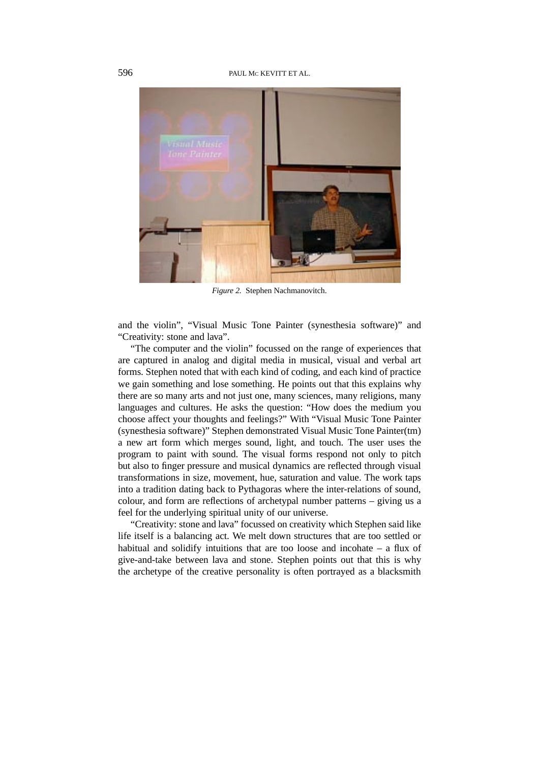## 596 PAUL Mc KEVITT ET AL.



*Figure 2.* Stephen Nachmanovitch.

and the violin", "Visual Music Tone Painter (synesthesia software)" and "Creativity: stone and lava".

"The computer and the violin" focussed on the range of experiences that are captured in analog and digital media in musical, visual and verbal art forms. Stephen noted that with each kind of coding, and each kind of practice we gain something and lose something. He points out that this explains why there are so many arts and not just one, many sciences, many religions, many languages and cultures. He asks the question: "How does the medium you choose affect your thoughts and feelings?" With "Visual Music Tone Painter (synesthesia software)" Stephen demonstrated Visual Music Tone Painter(tm) a new art form which merges sound, light, and touch. The user uses the program to paint with sound. The visual forms respond not only to pitch but also to finger pressure and musical dynamics are reflected through visual transformations in size, movement, hue, saturation and value. The work taps into a tradition dating back to Pythagoras where the inter-relations of sound, colour, and form are reflections of archetypal number patterns – giving us a feel for the underlying spiritual unity of our universe.

"Creativity: stone and lava" focussed on creativity which Stephen said like life itself is a balancing act. We melt down structures that are too settled or habitual and solidify intuitions that are too loose and incohate – a flux of give-and-take between lava and stone. Stephen points out that this is why the archetype of the creative personality is often portrayed as a blacksmith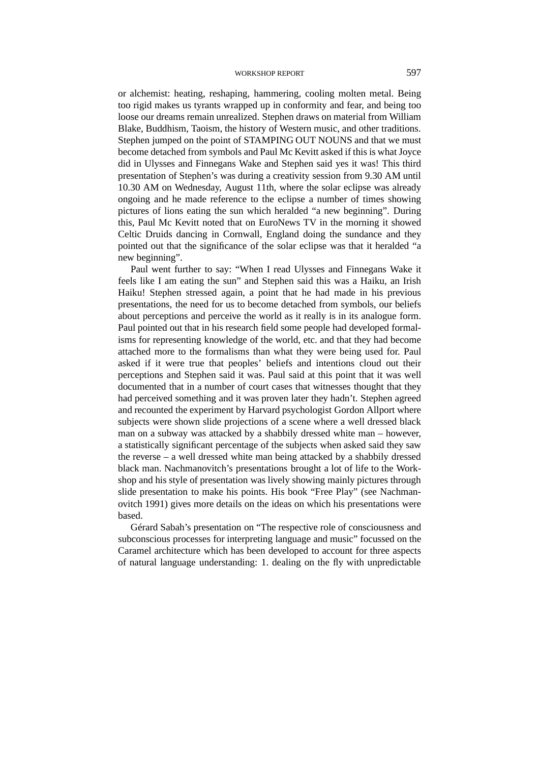or alchemist: heating, reshaping, hammering, cooling molten metal. Being too rigid makes us tyrants wrapped up in conformity and fear, and being too loose our dreams remain unrealized. Stephen draws on material from William Blake, Buddhism, Taoism, the history of Western music, and other traditions. Stephen jumped on the point of STAMPING OUT NOUNS and that we must become detached from symbols and Paul Mc Kevitt asked if this is what Joyce did in Ulysses and Finnegans Wake and Stephen said yes it was! This third presentation of Stephen's was during a creativity session from 9.30 AM until 10.30 AM on Wednesday, August 11th, where the solar eclipse was already ongoing and he made reference to the eclipse a number of times showing pictures of lions eating the sun which heralded "a new beginning". During this, Paul Mc Kevitt noted that on EuroNews TV in the morning it showed Celtic Druids dancing in Cornwall, England doing the sundance and they pointed out that the significance of the solar eclipse was that it heralded "a new beginning".

Paul went further to say: "When I read Ulysses and Finnegans Wake it feels like I am eating the sun" and Stephen said this was a Haiku, an Irish Haiku! Stephen stressed again, a point that he had made in his previous presentations, the need for us to become detached from symbols, our beliefs about perceptions and perceive the world as it really is in its analogue form. Paul pointed out that in his research field some people had developed formalisms for representing knowledge of the world, etc. and that they had become attached more to the formalisms than what they were being used for. Paul asked if it were true that peoples' beliefs and intentions cloud out their perceptions and Stephen said it was. Paul said at this point that it was well documented that in a number of court cases that witnesses thought that they had perceived something and it was proven later they hadn't. Stephen agreed and recounted the experiment by Harvard psychologist Gordon Allport where subjects were shown slide projections of a scene where a well dressed black man on a subway was attacked by a shabbily dressed white man – however, a statistically significant percentage of the subjects when asked said they saw the reverse – a well dressed white man being attacked by a shabbily dressed black man. Nachmanovitch's presentations brought a lot of life to the Workshop and his style of presentation was lively showing mainly pictures through slide presentation to make his points. His book "Free Play" (see Nachmanovitch 1991) gives more details on the ideas on which his presentations were based.

Gérard Sabah's presentation on "The respective role of consciousness and subconscious processes for interpreting language and music" focussed on the Caramel architecture which has been developed to account for three aspects of natural language understanding: 1. dealing on the fly with unpredictable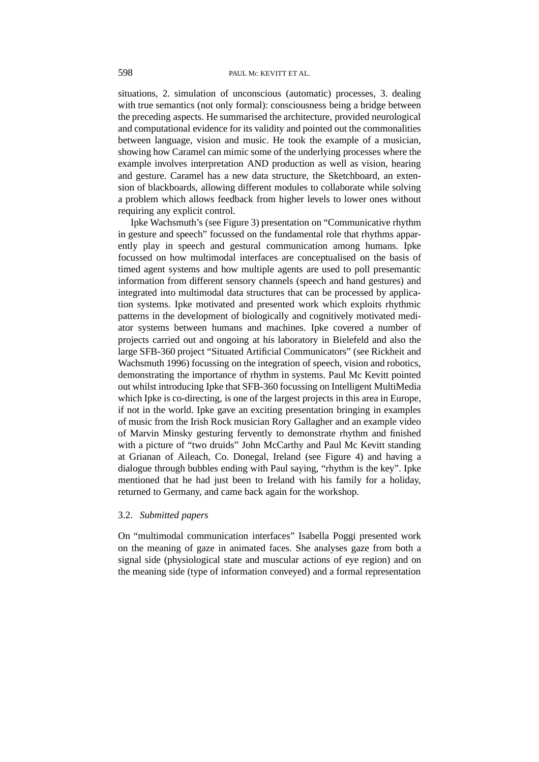situations, 2. simulation of unconscious (automatic) processes, 3. dealing with true semantics (not only formal): consciousness being a bridge between the preceding aspects. He summarised the architecture, provided neurological and computational evidence for its validity and pointed out the commonalities between language, vision and music. He took the example of a musician, showing how Caramel can mimic some of the underlying processes where the example involves interpretation AND production as well as vision, hearing and gesture. Caramel has a new data structure, the Sketchboard, an extension of blackboards, allowing different modules to collaborate while solving a problem which allows feedback from higher levels to lower ones without requiring any explicit control.

Ipke Wachsmuth's (see Figure 3) presentation on "Communicative rhythm in gesture and speech" focussed on the fundamental role that rhythms apparently play in speech and gestural communication among humans. Ipke focussed on how multimodal interfaces are conceptualised on the basis of timed agent systems and how multiple agents are used to poll presemantic information from different sensory channels (speech and hand gestures) and integrated into multimodal data structures that can be processed by application systems. Ipke motivated and presented work which exploits rhythmic patterns in the development of biologically and cognitively motivated mediator systems between humans and machines. Ipke covered a number of projects carried out and ongoing at his laboratory in Bielefeld and also the large SFB-360 project "Situated Artificial Communicators" (see Rickheit and Wachsmuth 1996) focussing on the integration of speech, vision and robotics, demonstrating the importance of rhythm in systems. Paul Mc Kevitt pointed out whilst introducing Ipke that SFB-360 focussing on Intelligent MultiMedia which Ipke is co-directing, is one of the largest projects in this area in Europe, if not in the world. Ipke gave an exciting presentation bringing in examples of music from the Irish Rock musician Rory Gallagher and an example video of Marvin Minsky gesturing fervently to demonstrate rhythm and finished with a picture of "two druids" John McCarthy and Paul Mc Kevitt standing at Grianan of Aileach, Co. Donegal, Ireland (see Figure 4) and having a dialogue through bubbles ending with Paul saying, "rhythm is the key". Ipke mentioned that he had just been to Ireland with his family for a holiday, returned to Germany, and came back again for the workshop.

## 3.2. *Submitted papers*

On "multimodal communication interfaces" Isabella Poggi presented work on the meaning of gaze in animated faces. She analyses gaze from both a signal side (physiological state and muscular actions of eye region) and on the meaning side (type of information conveyed) and a formal representation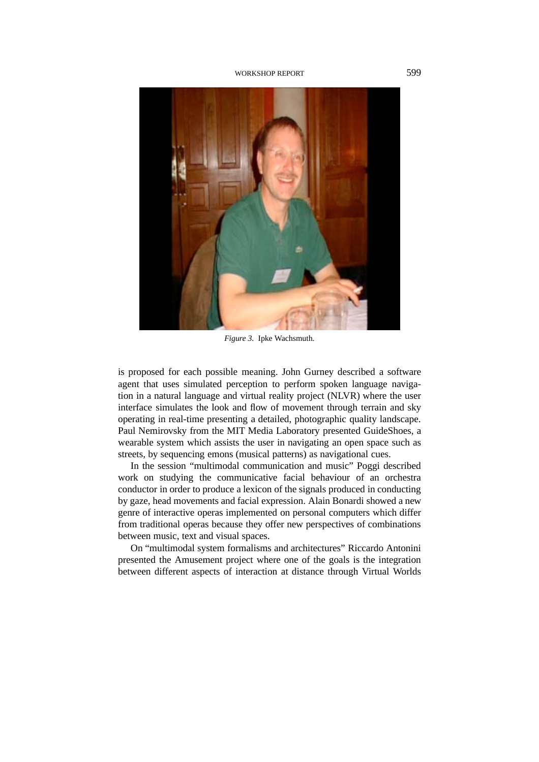

*Figure 3.* Ipke Wachsmuth.

is proposed for each possible meaning. John Gurney described a software agent that uses simulated perception to perform spoken language navigation in a natural language and virtual reality project (NLVR) where the user interface simulates the look and flow of movement through terrain and sky operating in real-time presenting a detailed, photographic quality landscape. Paul Nemirovsky from the MIT Media Laboratory presented GuideShoes, a wearable system which assists the user in navigating an open space such as streets, by sequencing emons (musical patterns) as navigational cues.

In the session "multimodal communication and music" Poggi described work on studying the communicative facial behaviour of an orchestra conductor in order to produce a lexicon of the signals produced in conducting by gaze, head movements and facial expression. Alain Bonardi showed a new genre of interactive operas implemented on personal computers which differ from traditional operas because they offer new perspectives of combinations between music, text and visual spaces.

On "multimodal system formalisms and architectures" Riccardo Antonini presented the Amusement project where one of the goals is the integration between different aspects of interaction at distance through Virtual Worlds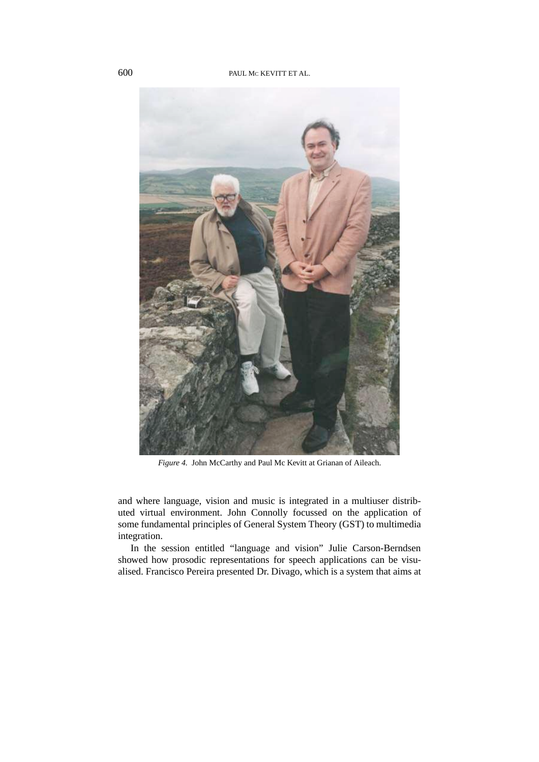## 600 PAUL MC KEVITT ET AL.



*Figure 4.* John McCarthy and Paul Mc Kevitt at Grianan of Aileach.

and where language, vision and music is integrated in a multiuser distributed virtual environment. John Connolly focussed on the application of some fundamental principles of General System Theory (GST) to multimedia integration.

In the session entitled "language and vision" Julie Carson-Berndsen showed how prosodic representations for speech applications can be visualised. Francisco Pereira presented Dr. Divago, which is a system that aims at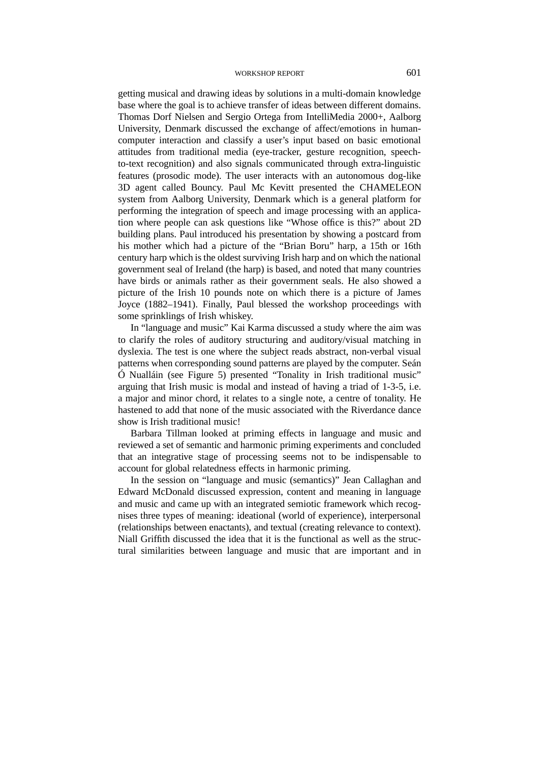getting musical and drawing ideas by solutions in a multi-domain knowledge base where the goal is to achieve transfer of ideas between different domains. Thomas Dorf Nielsen and Sergio Ortega from IntelliMedia 2000+, Aalborg University, Denmark discussed the exchange of affect/emotions in humancomputer interaction and classify a user's input based on basic emotional attitudes from traditional media (eye-tracker, gesture recognition, speechto-text recognition) and also signals communicated through extra-linguistic features (prosodic mode). The user interacts with an autonomous dog-like 3D agent called Bouncy. Paul Mc Kevitt presented the CHAMELEON system from Aalborg University, Denmark which is a general platform for performing the integration of speech and image processing with an application where people can ask questions like "Whose office is this?" about 2D building plans. Paul introduced his presentation by showing a postcard from his mother which had a picture of the "Brian Boru" harp, a 15th or 16th century harp which is the oldest surviving Irish harp and on which the national government seal of Ireland (the harp) is based, and noted that many countries have birds or animals rather as their government seals. He also showed a picture of the Irish 10 pounds note on which there is a picture of James Joyce (1882–1941). Finally, Paul blessed the workshop proceedings with some sprinklings of Irish whiskey.

In "language and music" Kai Karma discussed a study where the aim was to clarify the roles of auditory structuring and auditory/visual matching in dyslexia. The test is one where the subject reads abstract, non-verbal visual patterns when corresponding sound patterns are played by the computer. Seán Ó Nualláin (see Figure 5) presented "Tonality in Irish traditional music" arguing that Irish music is modal and instead of having a triad of 1-3-5, i.e. a major and minor chord, it relates to a single note, a centre of tonality. He hastened to add that none of the music associated with the Riverdance dance show is Irish traditional music!

Barbara Tillman looked at priming effects in language and music and reviewed a set of semantic and harmonic priming experiments and concluded that an integrative stage of processing seems not to be indispensable to account for global relatedness effects in harmonic priming.

In the session on "language and music (semantics)" Jean Callaghan and Edward McDonald discussed expression, content and meaning in language and music and came up with an integrated semiotic framework which recognises three types of meaning: ideational (world of experience), interpersonal (relationships between enactants), and textual (creating relevance to context). Niall Griffith discussed the idea that it is the functional as well as the structural similarities between language and music that are important and in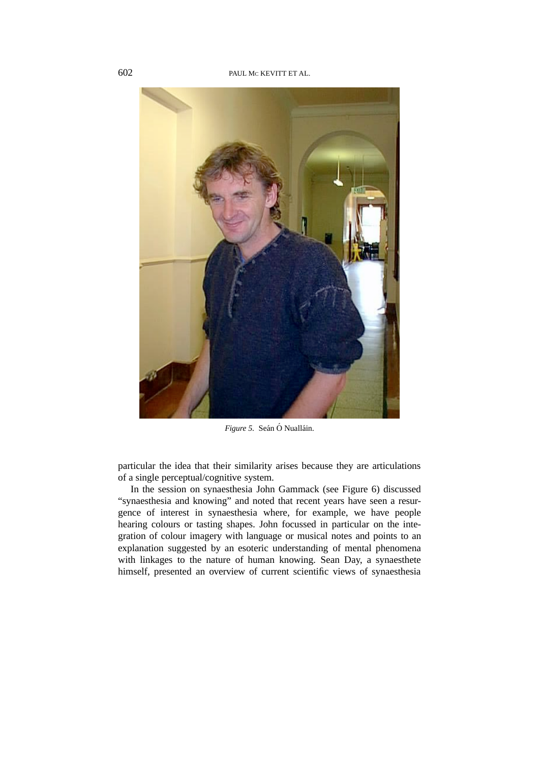## 602 PAUL MC KEVITT ET AL.



*Figure 5.* Seán Ó Nualláin.

particular the idea that their similarity arises because they are articulations of a single perceptual/cognitive system.

In the session on synaesthesia John Gammack (see Figure 6) discussed "synaesthesia and knowing" and noted that recent years have seen a resurgence of interest in synaesthesia where, for example, we have people hearing colours or tasting shapes. John focussed in particular on the integration of colour imagery with language or musical notes and points to an explanation suggested by an esoteric understanding of mental phenomena with linkages to the nature of human knowing. Sean Day, a synaesthete himself, presented an overview of current scientific views of synaesthesia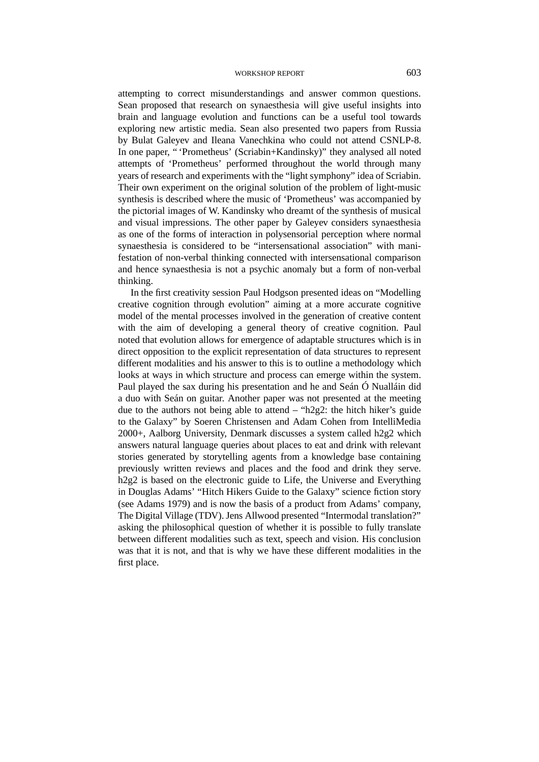attempting to correct misunderstandings and answer common questions. Sean proposed that research on synaesthesia will give useful insights into brain and language evolution and functions can be a useful tool towards exploring new artistic media. Sean also presented two papers from Russia by Bulat Galeyev and Ileana Vanechkina who could not attend CSNLP-8. In one paper, " 'Prometheus' (Scriabin+Kandinsky)" they analysed all noted attempts of 'Prometheus' performed throughout the world through many years of research and experiments with the "light symphony" idea of Scriabin. Their own experiment on the original solution of the problem of light-music synthesis is described where the music of 'Prometheus' was accompanied by the pictorial images of W. Kandinsky who dreamt of the synthesis of musical and visual impressions. The other paper by Galeyev considers synaesthesia as one of the forms of interaction in polysensorial perception where normal synaesthesia is considered to be "intersensational association" with manifestation of non-verbal thinking connected with intersensational comparison and hence synaesthesia is not a psychic anomaly but a form of non-verbal thinking.

In the first creativity session Paul Hodgson presented ideas on "Modelling creative cognition through evolution" aiming at a more accurate cognitive model of the mental processes involved in the generation of creative content with the aim of developing a general theory of creative cognition. Paul noted that evolution allows for emergence of adaptable structures which is in direct opposition to the explicit representation of data structures to represent different modalities and his answer to this is to outline a methodology which looks at ways in which structure and process can emerge within the system. Paul played the sax during his presentation and he and Seán Ó Nualláin did a duo with Seán on guitar. Another paper was not presented at the meeting due to the authors not being able to attend – "h2g2: the hitch hiker's guide to the Galaxy" by Soeren Christensen and Adam Cohen from IntelliMedia 2000+, Aalborg University, Denmark discusses a system called h2g2 which answers natural language queries about places to eat and drink with relevant stories generated by storytelling agents from a knowledge base containing previously written reviews and places and the food and drink they serve. h2g2 is based on the electronic guide to Life, the Universe and Everything in Douglas Adams' "Hitch Hikers Guide to the Galaxy" science fiction story (see Adams 1979) and is now the basis of a product from Adams' company, The Digital Village (TDV). Jens Allwood presented "Intermodal translation?" asking the philosophical question of whether it is possible to fully translate between different modalities such as text, speech and vision. His conclusion was that it is not, and that is why we have these different modalities in the first place.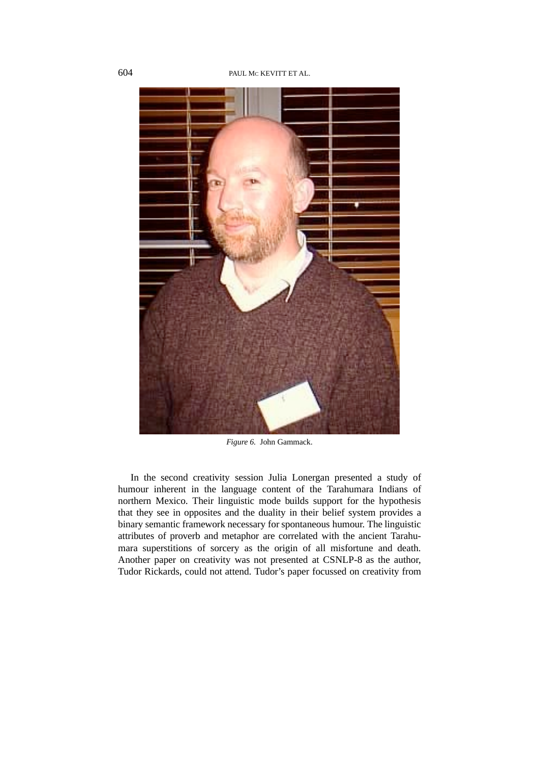

*Figure 6.* John Gammack.

In the second creativity session Julia Lonergan presented a study of humour inherent in the language content of the Tarahumara Indians of northern Mexico. Their linguistic mode builds support for the hypothesis that they see in opposites and the duality in their belief system provides a binary semantic framework necessary for spontaneous humour. The linguistic attributes of proverb and metaphor are correlated with the ancient Tarahumara superstitions of sorcery as the origin of all misfortune and death. Another paper on creativity was not presented at CSNLP-8 as the author, Tudor Rickards, could not attend. Tudor's paper focussed on creativity from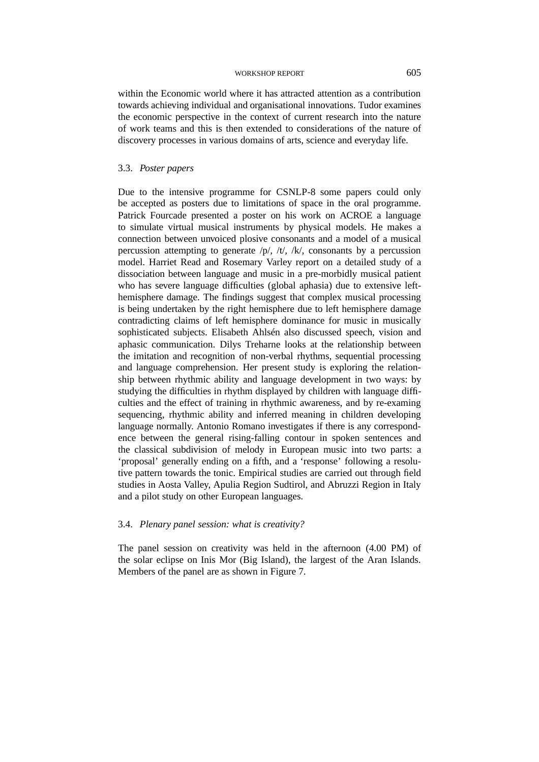within the Economic world where it has attracted attention as a contribution towards achieving individual and organisational innovations. Tudor examines the economic perspective in the context of current research into the nature of work teams and this is then extended to considerations of the nature of discovery processes in various domains of arts, science and everyday life.

## 3.3. *Poster papers*

Due to the intensive programme for CSNLP-8 some papers could only be accepted as posters due to limitations of space in the oral programme. Patrick Fourcade presented a poster on his work on ACROE a language to simulate virtual musical instruments by physical models. He makes a connection between unvoiced plosive consonants and a model of a musical percussion attempting to generate  $/p/$ ,  $/t/$ ,  $/k/$ , consonants by a percussion model. Harriet Read and Rosemary Varley report on a detailed study of a dissociation between language and music in a pre-morbidly musical patient who has severe language difficulties (global aphasia) due to extensive lefthemisphere damage. The findings suggest that complex musical processing is being undertaken by the right hemisphere due to left hemisphere damage contradicting claims of left hemisphere dominance for music in musically sophisticated subjects. Elisabeth Ahlsén also discussed speech, vision and aphasic communication. Dilys Treharne looks at the relationship between the imitation and recognition of non-verbal rhythms, sequential processing and language comprehension. Her present study is exploring the relationship between rhythmic ability and language development in two ways: by studying the difficulties in rhythm displayed by children with language difficulties and the effect of training in rhythmic awareness, and by re-examing sequencing, rhythmic ability and inferred meaning in children developing language normally. Antonio Romano investigates if there is any correspondence between the general rising-falling contour in spoken sentences and the classical subdivision of melody in European music into two parts: a 'proposal' generally ending on a fifth, and a 'response' following a resolutive pattern towards the tonic. Empirical studies are carried out through field studies in Aosta Valley, Apulia Region Sudtirol, and Abruzzi Region in Italy and a pilot study on other European languages.

## 3.4. *Plenary panel session: what is creativity?*

The panel session on creativity was held in the afternoon (4.00 PM) of the solar eclipse on Inis Mor (Big Island), the largest of the Aran Islands. Members of the panel are as shown in Figure 7.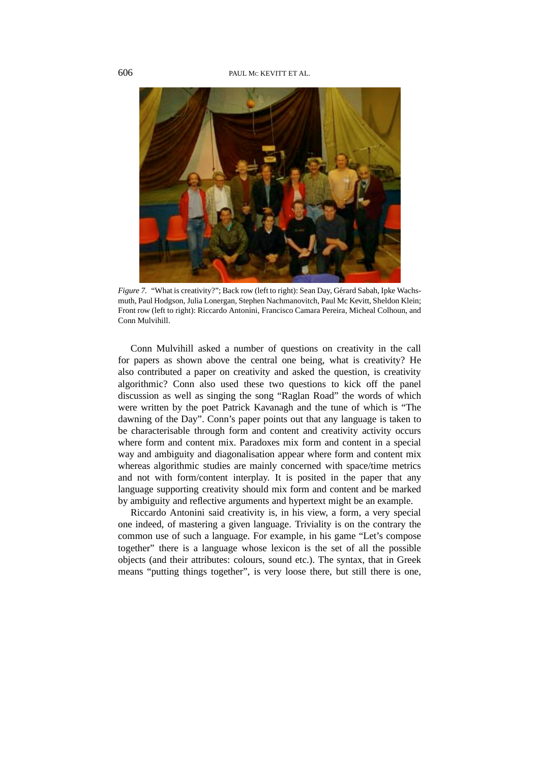

*Figure 7.* "What is creativity?"; Back row (left to right): Sean Day, Gérard Sabah, Ipke Wachsmuth, Paul Hodgson, Julia Lonergan, Stephen Nachmanovitch, Paul Mc Kevitt, Sheldon Klein; Front row (left to right): Riccardo Antonini, Francisco Camara Pereira, Micheal Colhoun, and Conn Mulvihill.

Conn Mulvihill asked a number of questions on creativity in the call for papers as shown above the central one being, what is creativity? He also contributed a paper on creativity and asked the question, is creativity algorithmic? Conn also used these two questions to kick off the panel discussion as well as singing the song "Raglan Road" the words of which were written by the poet Patrick Kavanagh and the tune of which is "The dawning of the Day". Conn's paper points out that any language is taken to be characterisable through form and content and creativity activity occurs where form and content mix. Paradoxes mix form and content in a special way and ambiguity and diagonalisation appear where form and content mix whereas algorithmic studies are mainly concerned with space/time metrics and not with form/content interplay. It is posited in the paper that any language supporting creativity should mix form and content and be marked by ambiguity and reflective arguments and hypertext might be an example.

Riccardo Antonini said creativity is, in his view, a form, a very special one indeed, of mastering a given language. Triviality is on the contrary the common use of such a language. For example, in his game "Let's compose together" there is a language whose lexicon is the set of all the possible objects (and their attributes: colours, sound etc.). The syntax, that in Greek means "putting things together", is very loose there, but still there is one,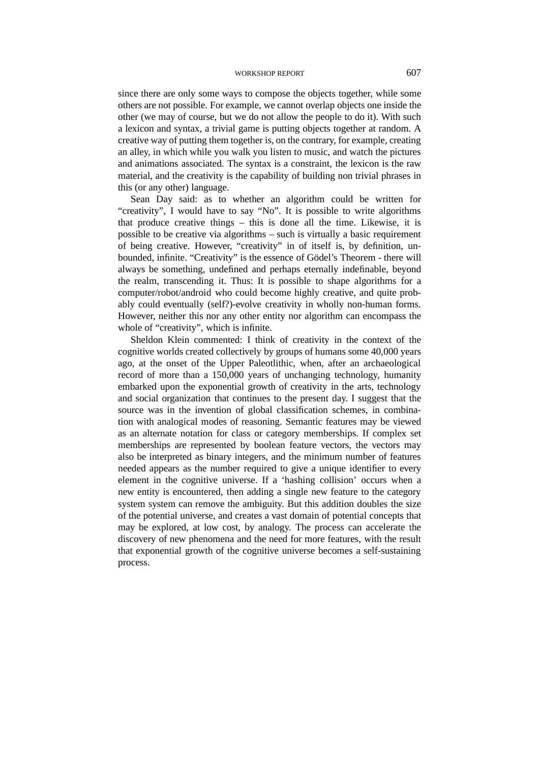since there are only some ways to compose the objects together, while some others are not possible. For example, we cannot overlap objects one inside the other (we may of course, but we do not allow the people to do it). With such a lexicon and syntax, a trivial game is putting objects together at random. A creative way of putting them together is, on the contrary, for example, creating an alley, in which while you walk you listen to music, and watch the pictures and animations associated. The syntax is a constraint, the lexicon is the raw material, and the creativity is the capability of building non trivial phrases in this (or any other) language.

Sean Day said: as to whether an algorithm could be written for "creativity", I would have to say "No". It is possible to write algorithms that produce creative things – this is done all the time. Likewise, it is possible to be creative via algorithms – such is virtually a basic requirement of being creative. However, "creativity" in of itself is, by definition, unbounded, infinite. "Creativity" is the essence of Gödel's Theorem - there will always be something, undefined and perhaps eternally indefinable, beyond the realm, transcending it. Thus: It is possible to shape algorithms for a computer/robot/android who could become highly creative, and quite probably could eventually (self?)-evolve creativity in wholly non-human forms. However, neither this nor any other entity nor algorithm can encompass the whole of "creativity", which is infinite.

Sheldon Klein commented: I think of creativity in the context of the cognitive worlds created collectively by groups of humans some 40,000 years ago, at the onset of the Upper Paleotlithic, when, after an archaeological record of more than a 150,000 years of unchanging technology, humanity embarked upon the exponential growth of creativity in the arts, technology and social organization that continues to the present day. I suggest that the source was in the invention of global classification schemes, in combination with analogical modes of reasoning. Semantic features may be viewed as an alternate notation for class or category memberships. If complex set memberships are represented by boolean feature vectors, the vectors may also be interpreted as binary integers, and the minimum number of features needed appears as the number required to give a unique identifier to every element in the cognitive universe. If a 'hashing collision' occurs when a new entity is encountered, then adding a single new feature to the category system system can remove the ambiguity. But this addition doubles the size of the potential universe, and creates a vast domain of potential concepts that may be explored, at low cost, by analogy. The process can accelerate the discovery of new phenomena and the need for more features, with the result that exponential growth of the cognitive universe becomes a self-sustaining process.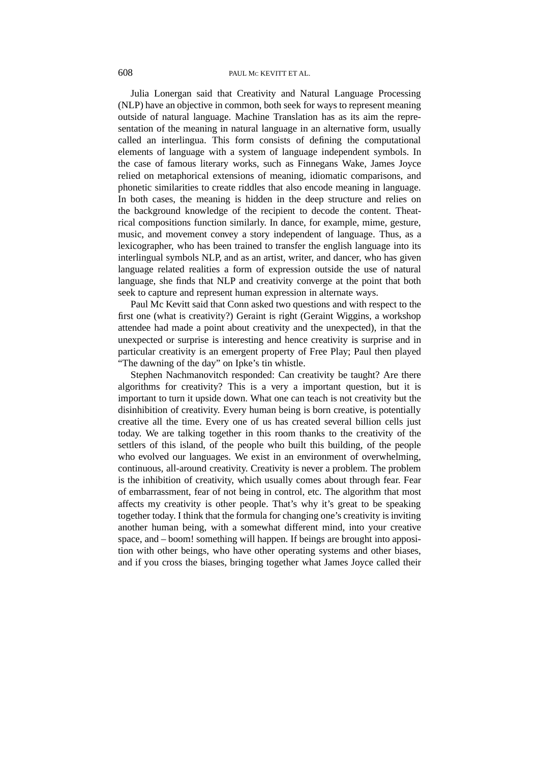### 608 PAUL MC KEVITT ET AL.

Julia Lonergan said that Creativity and Natural Language Processing (NLP) have an objective in common, both seek for ways to represent meaning outside of natural language. Machine Translation has as its aim the representation of the meaning in natural language in an alternative form, usually called an interlingua. This form consists of defining the computational elements of language with a system of language independent symbols. In the case of famous literary works, such as Finnegans Wake, James Joyce relied on metaphorical extensions of meaning, idiomatic comparisons, and phonetic similarities to create riddles that also encode meaning in language. In both cases, the meaning is hidden in the deep structure and relies on the background knowledge of the recipient to decode the content. Theatrical compositions function similarly. In dance, for example, mime, gesture, music, and movement convey a story independent of language. Thus, as a lexicographer, who has been trained to transfer the english language into its interlingual symbols NLP, and as an artist, writer, and dancer, who has given language related realities a form of expression outside the use of natural language, she finds that NLP and creativity converge at the point that both seek to capture and represent human expression in alternate ways.

Paul Mc Kevitt said that Conn asked two questions and with respect to the first one (what is creativity?) Geraint is right (Geraint Wiggins, a workshop attendee had made a point about creativity and the unexpected), in that the unexpected or surprise is interesting and hence creativity is surprise and in particular creativity is an emergent property of Free Play; Paul then played "The dawning of the day" on Ipke's tin whistle.

Stephen Nachmanovitch responded: Can creativity be taught? Are there algorithms for creativity? This is a very a important question, but it is important to turn it upside down. What one can teach is not creativity but the disinhibition of creativity. Every human being is born creative, is potentially creative all the time. Every one of us has created several billion cells just today. We are talking together in this room thanks to the creativity of the settlers of this island, of the people who built this building, of the people who evolved our languages. We exist in an environment of overwhelming, continuous, all-around creativity. Creativity is never a problem. The problem is the inhibition of creativity, which usually comes about through fear. Fear of embarrassment, fear of not being in control, etc. The algorithm that most affects my creativity is other people. That's why it's great to be speaking together today. I think that the formula for changing one's creativity is inviting another human being, with a somewhat different mind, into your creative space, and – boom! something will happen. If beings are brought into apposition with other beings, who have other operating systems and other biases, and if you cross the biases, bringing together what James Joyce called their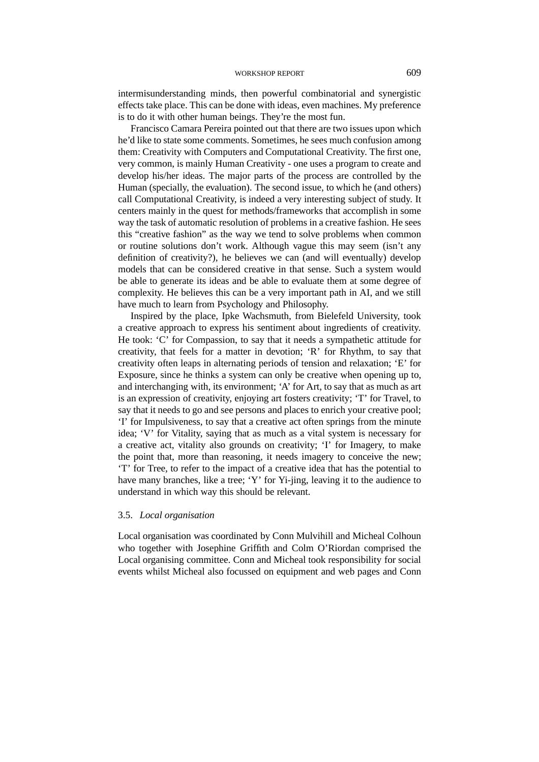intermisunderstanding minds, then powerful combinatorial and synergistic effects take place. This can be done with ideas, even machines. My preference is to do it with other human beings. They're the most fun.

Francisco Camara Pereira pointed out that there are two issues upon which he'd like to state some comments. Sometimes, he sees much confusion among them: Creativity with Computers and Computational Creativity. The first one, very common, is mainly Human Creativity - one uses a program to create and develop his/her ideas. The major parts of the process are controlled by the Human (specially, the evaluation). The second issue, to which he (and others) call Computational Creativity, is indeed a very interesting subject of study. It centers mainly in the quest for methods/frameworks that accomplish in some way the task of automatic resolution of problems in a creative fashion. He sees this "creative fashion" as the way we tend to solve problems when common or routine solutions don't work. Although vague this may seem (isn't any definition of creativity?), he believes we can (and will eventually) develop models that can be considered creative in that sense. Such a system would be able to generate its ideas and be able to evaluate them at some degree of complexity. He believes this can be a very important path in AI, and we still have much to learn from Psychology and Philosophy.

Inspired by the place, Ipke Wachsmuth, from Bielefeld University, took a creative approach to express his sentiment about ingredients of creativity. He took: 'C' for Compassion, to say that it needs a sympathetic attitude for creativity, that feels for a matter in devotion; 'R' for Rhythm, to say that creativity often leaps in alternating periods of tension and relaxation; 'E' for Exposure, since he thinks a system can only be creative when opening up to, and interchanging with, its environment; 'A' for Art, to say that as much as art is an expression of creativity, enjoying art fosters creativity; 'T' for Travel, to say that it needs to go and see persons and places to enrich your creative pool; 'I' for Impulsiveness, to say that a creative act often springs from the minute idea; 'V' for Vitality, saying that as much as a vital system is necessary for a creative act, vitality also grounds on creativity; 'I' for Imagery, to make the point that, more than reasoning, it needs imagery to conceive the new; 'T' for Tree, to refer to the impact of a creative idea that has the potential to have many branches, like a tree; 'Y' for Yi-jing, leaving it to the audience to understand in which way this should be relevant.

#### 3.5. *Local organisation*

Local organisation was coordinated by Conn Mulvihill and Micheal Colhoun who together with Josephine Griffith and Colm O'Riordan comprised the Local organising committee. Conn and Micheal took responsibility for social events whilst Micheal also focussed on equipment and web pages and Conn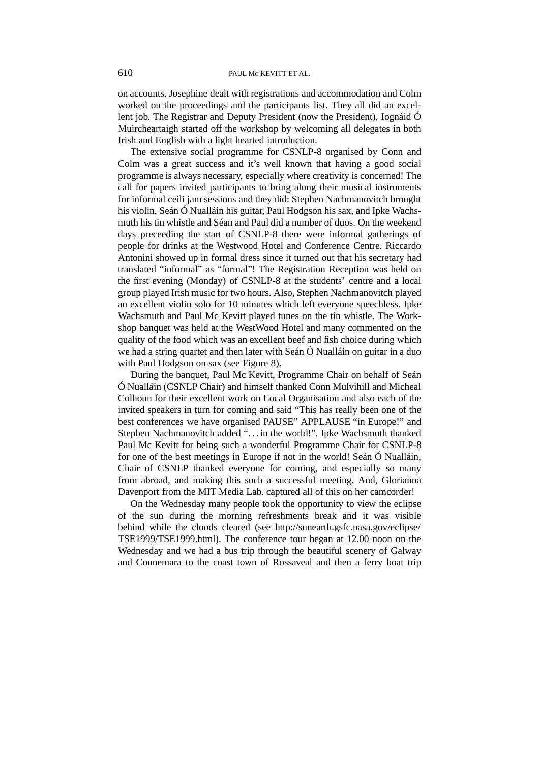on accounts. Josephine dealt with registrations and accommodation and Colm worked on the proceedings and the participants list. They all did an excellent job. The Registrar and Deputy President (now the President), Iognáid Ó Muircheartaigh started off the workshop by welcoming all delegates in both Irish and English with a light hearted introduction.

The extensive social programme for CSNLP-8 organised by Conn and Colm was a great success and it's well known that having a good social programme is always necessary, especially where creativity is concerned! The call for papers invited participants to bring along their musical instruments for informal ceili jam sessions and they did: Stephen Nachmanovitch brought his violin, Seán Ó Nualláin his guitar, Paul Hodgson his sax, and Ipke Wachsmuth his tin whistle and Séan and Paul did a number of duos. On the weekend days preceeding the start of CSNLP-8 there were informal gatherings of people for drinks at the Westwood Hotel and Conference Centre. Riccardo Antonini showed up in formal dress since it turned out that his secretary had translated "informal" as "formal"! The Registration Reception was held on the first evening (Monday) of CSNLP-8 at the students' centre and a local group played Irish music for two hours. Also, Stephen Nachmanovitch played an excellent violin solo for 10 minutes which left everyone speechless. Ipke Wachsmuth and Paul Mc Kevitt played tunes on the tin whistle. The Workshop banquet was held at the WestWood Hotel and many commented on the quality of the food which was an excellent beef and fish choice during which we had a string quartet and then later with Seán Ó Nualláin on guitar in a duo with Paul Hodgson on sax (see Figure 8).

During the banquet, Paul Mc Kevitt, Programme Chair on behalf of Seán Ó Nualláin (CSNLP Chair) and himself thanked Conn Mulvihill and Micheal Colhoun for their excellent work on Local Organisation and also each of the invited speakers in turn for coming and said "This has really been one of the best conferences we have organised PAUSE" APPLAUSE "in Europe!" and Stephen Nachmanovitch added ". . . in the world!". Ipke Wachsmuth thanked Paul Mc Kevitt for being such a wonderful Programme Chair for CSNLP-8 for one of the best meetings in Europe if not in the world! Seán Ó Nualláin, Chair of CSNLP thanked everyone for coming, and especially so many from abroad, and making this such a successful meeting. And, Glorianna Davenport from the MIT Media Lab. captured all of this on her camcorder!

On the Wednesday many people took the opportunity to view the eclipse of the sun during the morning refreshments break and it was visible behind while the clouds cleared (see http://sunearth.gsfc.nasa.gov/eclipse/ TSE1999/TSE1999.html). The conference tour began at 12.00 noon on the Wednesday and we had a bus trip through the beautiful scenery of Galway and Connemara to the coast town of Rossaveal and then a ferry boat trip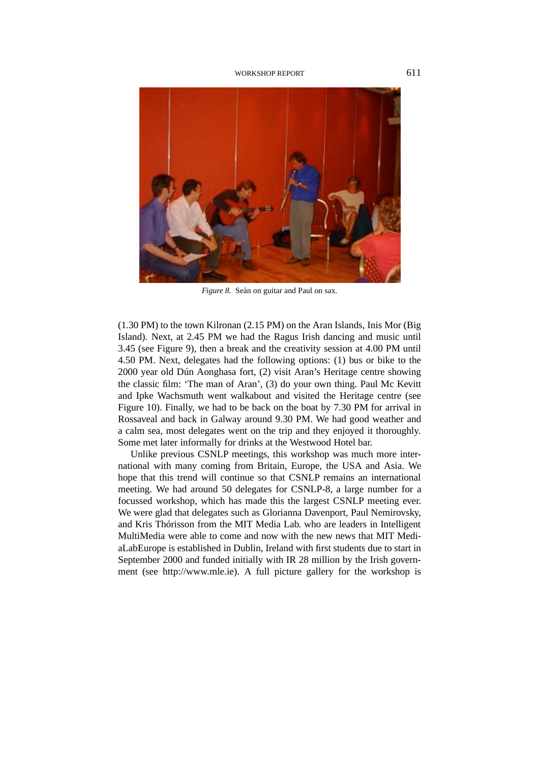

*Figure 8.* Seán on guitar and Paul on sax.

(1.30 PM) to the town Kilronan (2.15 PM) on the Aran Islands, Inis Mor (Big Island). Next, at 2.45 PM we had the Ragus Irish dancing and music until 3.45 (see Figure 9), then a break and the creativity session at 4.00 PM until 4.50 PM. Next, delegates had the following options: (1) bus or bike to the 2000 year old Dún Aonghasa fort, (2) visit Aran's Heritage centre showing the classic film: 'The man of Aran', (3) do your own thing. Paul Mc Kevitt and Ipke Wachsmuth went walkabout and visited the Heritage centre (see Figure 10). Finally, we had to be back on the boat by 7.30 PM for arrival in Rossaveal and back in Galway around 9.30 PM. We had good weather and a calm sea, most delegates went on the trip and they enjoyed it thoroughly. Some met later informally for drinks at the Westwood Hotel bar.

Unlike previous CSNLP meetings, this workshop was much more international with many coming from Britain, Europe, the USA and Asia. We hope that this trend will continue so that CSNLP remains an international meeting. We had around 50 delegates for CSNLP-8, a large number for a focussed workshop, which has made this the largest CSNLP meeting ever. We were glad that delegates such as Glorianna Davenport, Paul Nemirovsky, and Kris Thórisson from the MIT Media Lab. who are leaders in Intelligent MultiMedia were able to come and now with the new news that MIT MediaLabEurope is established in Dublin, Ireland with first students due to start in September 2000 and funded initially with IR 28 million by the Irish government (see http://www.mle.ie). A full picture gallery for the workshop is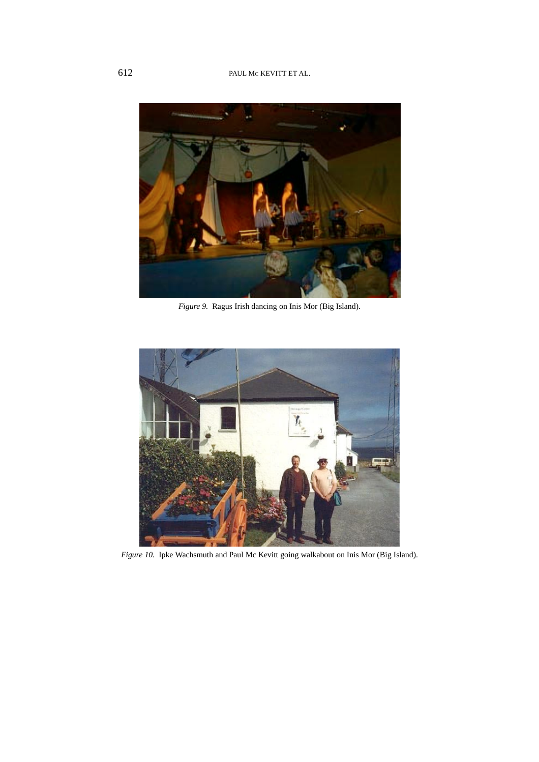

*Figure 9.* Ragus Irish dancing on Inis Mor (Big Island).



*Figure 10.* Ipke Wachsmuth and Paul Mc Kevitt going walkabout on Inis Mor (Big Island).